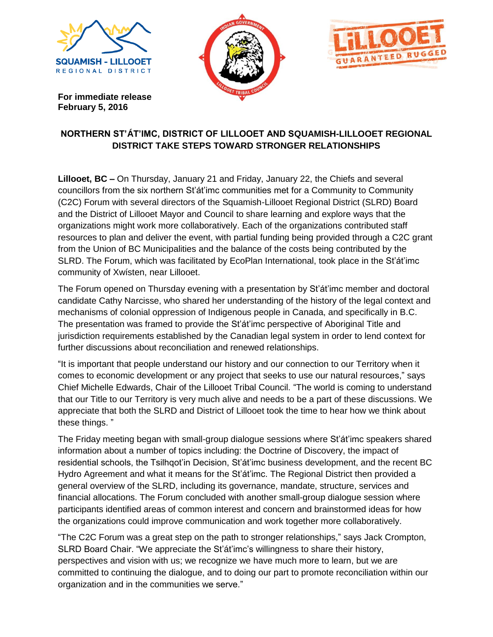





**For immediate release February 5, 2016**

## **NORTHERN ST'ÁT'IMC, DISTRICT OF LILLOOET AND SQUAMISH-LILLOOET REGIONAL DISTRICT TAKE STEPS TOWARD STRONGER RELATIONSHIPS**

**Lillooet, BC –** On Thursday, January 21 and Friday, January 22, the Chiefs and several councillors from the six northern St'át'imc communities met for a Community to Community (C2C) Forum with several directors of the Squamish-Lillooet Regional District (SLRD) Board and the District of Lillooet Mayor and Council to share learning and explore ways that the organizations might work more collaboratively. Each of the organizations contributed staff resources to plan and deliver the event, with partial funding being provided through a C2C grant from the Union of BC Municipalities and the balance of the costs being contributed by the SLRD. The Forum, which was facilitated by EcoPlan International, took place in the St'át'imc community of Xwísten, near Lillooet.

The Forum opened on Thursday evening with a presentation by St'át'imc member and doctoral candidate Cathy Narcisse, who shared her understanding of the history of the legal context and mechanisms of colonial oppression of Indigenous people in Canada, and specifically in B.C. The presentation was framed to provide the St'át'imc perspective of Aboriginal Title and jurisdiction requirements established by the Canadian legal system in order to lend context for further discussions about reconciliation and renewed relationships.

"It is important that people understand our history and our connection to our Territory when it comes to economic development or any project that seeks to use our natural resources," says Chief Michelle Edwards, Chair of the Lillooet Tribal Council. "The world is coming to understand that our Title to our Territory is very much alive and needs to be a part of these discussions. We appreciate that both the SLRD and District of Lillooet took the time to hear how we think about these things. "

The Friday meeting began with small-group dialogue sessions where St'át'imc speakers shared information about a number of topics including: the Doctrine of Discovery, the impact of residential schools, the Tsilhqot'in Decision, St'át'imc business development, and the recent BC Hydro Agreement and what it means for the St'át'imc. The Regional District then provided a general overview of the SLRD, including its governance, mandate, structure, services and financial allocations. The Forum concluded with another small-group dialogue session where participants identified areas of common interest and concern and brainstormed ideas for how the organizations could improve communication and work together more collaboratively.

"The C2C Forum was a great step on the path to stronger relationships," says Jack Crompton, SLRD Board Chair. "We appreciate the St'át'imc's willingness to share their history, perspectives and vision with us; we recognize we have much more to learn, but we are committed to continuing the dialogue, and to doing our part to promote reconciliation within our organization and in the communities we serve."